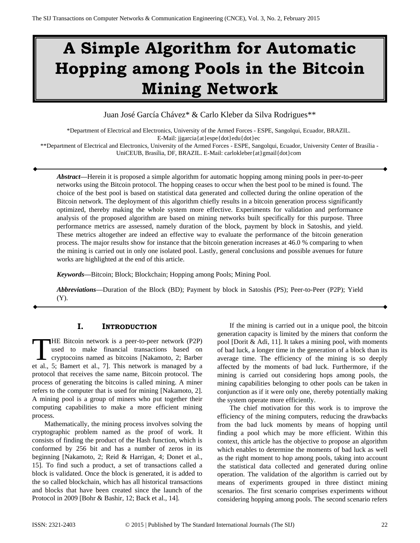# **A Simple Algorithm for Automatic Hopping among Pools in the Bitcoin Mining Network**

Juan José García Chávez\* & Carlo Kleber da Silva Rodrigues\*\*

\*Department of Electrical and Electronics, University of the Armed Forces - ESPE, Sangolqui, Ecuador, BRAZIL.

E-Mail: jjgarcia{at}espe{dot}edu{dot}ec

\*\*Department of Electrical and Electronics, University of the Armed Forces - ESPE, Sangolqui, Ecuador, University Center of Brasília - UniCEUB, Brasília, DF, BRAZIL. E-Mail: carlokleber{at}gmail{dot}com

*Abstract—*Herein it is proposed a simple algorithm for automatic hopping among mining pools in peer-to-peer networks using the Bitcoin protocol. The hopping ceases to occur when the best pool to be mined is found. The choice of the best pool is based on statistical data generated and collected during the online operation of the Bitcoin network. The deployment of this algorithm chiefly results in a bitcoin generation process significantly optimized, thereby making the whole system more effective. Experiments for validation and performance analysis of the proposed algorithm are based on mining networks built specifically for this purpose. Three performance metrics are assessed, namely duration of the block, payment by block in Satoshis, and yield. These metrics altogether are indeed an effective way to evaluate the performance of the bitcoin generation process. The major results show for instance that the bitcoin generation increases at 46.0 % comparing to when the mining is carried out in only one isolated pool. Lastly, general conclusions and possible avenues for future works are highlighted at the end of this article.

*Keywords—*Bitcoin; Block; Blockchain; Hopping among Pools; Mining Pool.

*Abbreviations—*Duration of the Block (BD); Payment by block in Satoshis (PS); Peer-to-Peer (P2P); Yield (Y).

# **I. INTRODUCTION**

HE Bitcoin network is a peer-to-peer network (P2P) used to make financial transactions based on cryptocoins named as bitcoins [Nakamoto, 2; Barber THE Bitcoin network is a peer-to-peer network (P2P) used to make financial transactions based on cryptocoins named as bitcoins [Nakamoto, 2; Barber et al., 5; Bamert et al., 7]. This network is managed by a protocol that receives the same name, Bitcoin protocol. The process of generating the bitcoins is called mining. A miner refers to the computer that is used for mining [Nakamoto, 2]. A mining pool is a group of miners who put together their computing capabilities to make a more efficient mining process.

Mathematically, the mining process involves solving the cryptographic problem named as the proof of work. It consists of finding the product of the Hash function, which is conformed by 256 bit and has a number of zeros in its beginning [Nakamoto, 2; Reid & Harrigan, 4; Donet et al., 15]. To find such a product, a set of transactions called a block is validated. Once the block is generated, it is added to the so called blockchain, which has all historical transactions and blocks that have been created since the launch of the Protocol in 2009 [Bohr & Bashir, 12; Back et al., 14].

If the mining is carried out in a unique pool, the bitcoin generation capacity is limited by the miners that conform the pool [Dorit & Adi, 11]. It takes a mining pool, with moments of bad luck, a longer time in the generation of a block than its average time. The efficiency of the mining is so deeply affected by the moments of bad luck. Furthermore, if the mining is carried out considering hops among pools, the mining capabilities belonging to other pools can be taken in conjunction as if it were only one, thereby potentially making the system operate more efficiently.

The chief motivation for this work is to improve the efficiency of the mining computers, reducing the drawbacks from the bad luck moments by means of hopping until finding a pool which may be more efficient. Within this context, this article has the objective to propose an algorithm which enables to determine the moments of bad luck as well as the right moment to hop among pools, taking into account the statistical data collected and generated during online operation. The validation of the algorithm is carried out by means of experiments grouped in three distinct mining scenarios. The first scenario comprises experiments without considering hopping among pools. The second scenario refers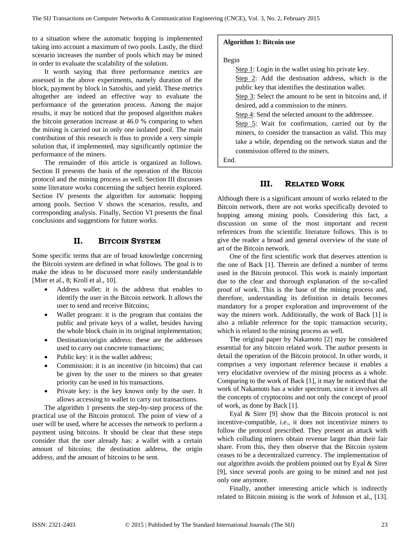to a situation where the automatic hopping is implemented taking into account a maximum of two pools. Lastly, the third scenario increases the number of pools which may be mined in order to evaluate the scalability of the solution.

It worth saying that three performance metrics are assessed in the above experiments, namely duration of the block, payment by block in Satoshis, and yield. These metrics altogether are indeed an effective way to evaluate the performance of the generation process. Among the major results, it may be noticed that the proposed algorithm makes the bitcoin generation increase at 46.0 % comparing to when the mining is carried out in only one isolated pool. The main contribution of this research is thus to provide a very simple solution that, if implemented, may significantly optimize the performance of the miners.

The remainder of this article is organized as follows. Section II presents the basis of the operation of the Bitcoin protocol and the mining process as well. Section III discusses some literature works concerning the subject herein explored. Section IV presents the algorithm for automatic hopping among pools. Section V shows the scenarios, results, and corresponding analysis. Finally, Section VI presents the final conclusions and suggestions for future works.

# **II. BITCOIN SYSTEM**

Some specific terms that are of broad knowledge concerning the Bitcoin system are defined in what follows. The goal is to make the ideas to be discussed more easily understandable [Mier et al., 8; Kroll et al., 10].

- Address wallet: it is the address that enables to identify the user in the Bitcoin network. It allows the user to send and receive Bitcoins;
- Wallet program: it is the program that contains the public and private keys of a wallet, besides having the whole block chain in its original implementation;
- Destination/origin address: these are the addresses used to carry out concrete transactions;
- Public key: it is the wallet address;
- Commission: it is an incentive (in bitcoins) that can be given by the user to the miners so that greater priority can be used in his transactions.
- Private key: is the key known only by the user. It allows accessing to wallet to carry out transactions.

The algorithm 1 presents the step-by-step process of the practical use of the Bitcoin protocol. The point of view of a user will be used, where he accesses the network to perform a payment using bitcoins. It should be clear that these steps consider that the user already has: a wallet with a certain amount of bitcoins; the destination address, the origin address, and the amount of bitcoins to be sent.

#### **Algorithm 1: Bitcoin use**

#### Begin

Step 1: Login in the wallet using his private key. Step 2: Add the destination address, which is the public key that identifies the destination wallet. Step 3: Select the amount to be sent in bitcoins and, if desired, add a commission to the miners. Step 4: Send the selected amount to the addressee. Step 5: Wait for confirmation, carried out by the miners, to consider the transaction as valid. This may take a while, depending on the network status and the commission offered to the miners.

End.

#### **III. RELATED WORK**

Although there is a significant amount of works related to the Bitcoin network, there are not works specifically devoted to hopping among mining pools. Considering this fact, a discussion on some of the most important and recent references from the scientific literature follows. This is to give the reader a broad and general overview of the state of art of the Bitcoin network.

One of the first scientific work that deserves attention is the one of Back [1]. Therein are defined a number of terms used in the Bitcoin protocol. This work is mainly important due to the clear and thorough explanation of the so-called proof of work. This is the base of the mining process and, therefore, understanding its definition in details becomes mandatory for a proper exploration and improvement of the way the miners work. Additionally, the work of Back [1] is also a reliable reference for the topic transaction security, which is related to the mining process as well.

The original paper by Nakamoto [2] may be considered essential for any bitcoin related work. The author presents in detail the operation of the Bitcoin protocol. In other words, it comprises a very important reference because it enables a very elucidative overview of the mining process as a whole. Comparing to the work of Back [1], it may be noticed that the work of Nakamoto has a wider spectrum, since it involves all the concepts of cryptocoins and not only the concept of proof of work, as done by Back [1].

Eyal & Sirer [9] show that the Bitcoin protocol is not incentive-compatible, i.e., it does not incentivize miners to follow the protocol prescribed. They present an attack with which colluding miners obtain revenue larger than their fair share. From this, they then observe that the Bitcoin system ceases to be a decentralized currency. The implementation of our algorithm avoids the problem pointed out by Eyal & Sirer [9], since several pools are going to be mined and not just only one anymore.

Finally, another interesting article which is indirectly related to Bitcoin mining is the work of Johnson et al., [13].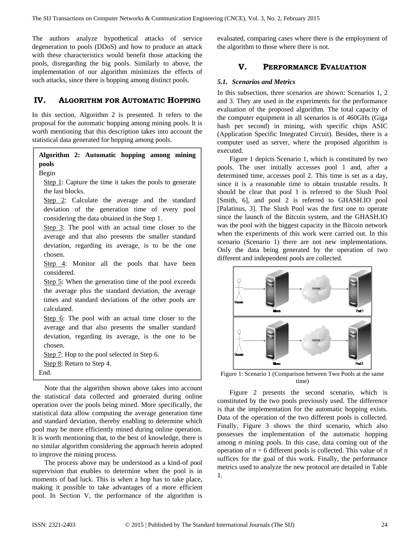The authors analyze hypothetical attacks of service degeneration to pools (DDoS) and how to produce an attack with these characteristics would benefit those attacking the pools, disregarding the big pools. Similarly to above, the implementation of our algorithm minimizes the effects of such attacks, since there is hopping among distinct pools.

# **IV. ALGORITHM FOR AUTOMATIC HOPPING**

In this section, Algorithm 2 is presented. It refers to the proposal for the automatic hopping among mining pools. It is worth mentioning that this description takes into account the statistical data generated for hopping among pools.

# **Algorithm 2: Automatic hopping among mining pools**

### Begin

Step 1: Capture the time it takes the pools to generate the last blocks.

Step 2: Calculate the average and the standard deviation of the generation time of every pool considering the data obtained in the Step 1.

Step 3: The pool with an actual time closer to the average and that also presents the smaller standard deviation, regarding its average, is to be the one chosen.

Step  $4$ : Monitor all the pools that have been considered.

Step 5: When the generation time of the pool exceeds the average plus the standard deviation, the average times and standard deviations of the other pools are calculated.

Step 6: The pool with an actual time closer to the average and that also presents the smaller standard deviation, regarding its average, is the one to be chosen.

Step 7: Hop to the pool selected in Step 6. Step 8: Return to Step 4. End.

Note that the algorithm shown above takes into account the statistical data collected and generated during online operation over the pools being mined. More specifically, the statistical data allow computing the average generation time and standard deviation, thereby enabling to determine which pool may be more efficiently mined during online operation. It is worth mentioning that, to the best of knowledge, there is no similar algorithm considering the approach herein adopted to improve the mining process.

The process above may be understood as a kind-of pool supervision that enables to determine when the pool is in moments of bad luck. This is when a hop has to take place, making it possible to take advantages of a more efficient pool. In Section V, the performance of the algorithm is evaluated, comparing cases where there is the employment of the algorithm to those where there is not.

## **V. PERFORMANCE EVALUATION**

#### *5.1. Scenarios and Metrics*

In this subsection, three scenarios are shown: Scenarios 1, 2 and 3. They are used in the experiments for the performance evaluation of the proposed algorithm. The total capacity of the computer equipment in all scenarios is of 460GHs (Giga hash per second) in mining, with specific chips ASIC (Application Specific Integrated Circuit). Besides, there is a computer used as server, where the proposed algorithm is executed.

Figure 1 depicts Scenario 1, which is constituted by two pools. The user initially accesses pool 1 and, after a determined time, accesses pool 2. This time is set as a day, since it is a reasonable time to obtain trustable results. It should be clear that pool 1 is referred to the Slush Pool [Smith, 6], and pool 2 is referred to GHASH.IO pool [Palatinus, 3]. The Slush Pool was the first one to operate since the launch of the Bitcoin system, and the GHASH.IO was the pool with the biggest capacity in the Bitcoin network when the experiments of this work were carried out. In this scenario (Scenario 1) there are not new implementations. Only the data being generated by the operation of two different and independent pools are collected.



Figure 1: Scenario 1 (Comparison between Two Pools at the same time)

Figure 2 presents the second scenario, which is constituted by the two pools previously used. The difference is that the implementation for the automatic hopping exists. Data of the operation of the two different pools is collected. Finally, Figure 3 shows the third scenario, which also possesses the implementation of the automatic hopping among *n* mining pools. In this case, data coming out of the operation of  $n = 6$  different pools is collected. This value of  $n$ suffices for the goal of this work. Finally, the performance metrics used to analyze the new protocol are detailed in Table 1.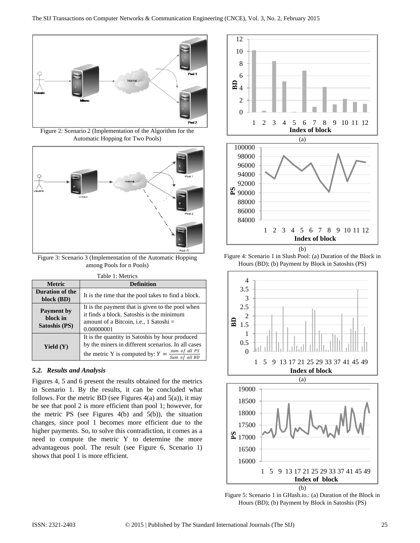

Figure 2: Scenario 2 (Implementation of the Algorithm for the Automatic Hopping for Two Pools)



Figure 3: Scenario 3 (Implementation of the Automatic Hopping among Pools for n Pools)

| Table 1: Metrics                               |                                                                                                                                                                               |
|------------------------------------------------|-------------------------------------------------------------------------------------------------------------------------------------------------------------------------------|
| <b>Metric</b>                                  | <b>Definition</b>                                                                                                                                                             |
| Duration of the<br>block (BD)                  | It is the time that the pool takes to find a block.                                                                                                                           |
| <b>Payment by</b><br>block in<br>Satoshis (PS) | It is the payment that is given to the pool when<br>it finds a block. Satoshis is the minimum<br>amount of a Bitcoin, i.e., 1 Satoshi $=$<br>0.00000001                       |
| Yield $(Y)$                                    | It is the quantity in Satoshis by hour produced<br>by the miners in different scenarios. In all cases<br>sum of all PS<br>the metric Y is computed by: $Y =$<br>Sum of all BD |

## *5.2. Results and Analysis*

Figures 4, 5 and 6 present the results obtained for the metrics in Scenario 1. By the results, it can be concluded what follows. For the metric BD (see Figures  $4(a)$  and  $5(a)$ ), it may be see that pool 2 is more efficient than pool 1; however, for the metric PS (see Figures  $4(b)$  and  $5(b)$ ), the situation changes, since pool 1 becomes more efficient due to the higher payments. So, to solve this contradiction, it comes as a need to compute the metric Y to determine the more advantageous pool. The result (see Figure 6, Scenario 1) shows that pool 1 is more efficient.



Figure 4: Scenario 1 in Slush Pool: (a) Duration of the Block in Hours (BD); (b) Payment by Block in Satoshis (PS)



(b)

Figure 5: Scenario 1 in GHash.io.: (a) Duration of the Block in Hours (BD); (b) Payment by Block in Satoshis (PS)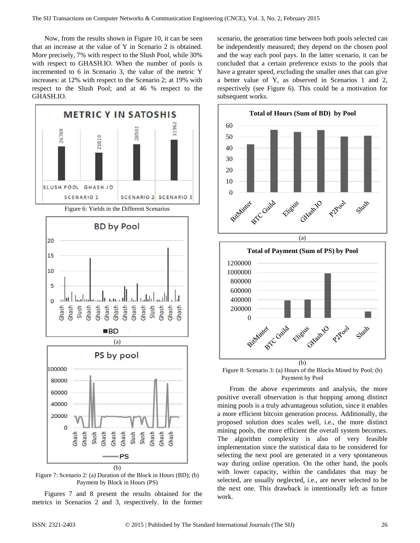Now, from the results shown in Figure 10, it can be seen that an increase at the value of Y in Scenario 2 is obtained. More precisely, 7% with respect to the Slush Pool, while 30% with respect to GHASH.IO. When the number of pools is incremented to 6 in Scenario 3, the value of the metric Y increases: at 12% with respect to the Scenario 2; at 19% with respect to the Slush Pool; and at 46 % respect to the GHASH.IO.



Figure 7: Scenario 2: (a) Duration of the Block in Hours (BD); (b) Payment by Block in Hours (PS)

Figures 7 and 8 present the results obtained for the metrics in Scenarios 2 and 3, respectively. In the former scenario, the generation time between both pools selected can be independently measured; they depend on the chosen pool and the way each pool pays. In the latter scenario, it can be concluded that a certain preference exists to the pools that have a greater speed, excluding the smaller ones that can give a better value of Y, as observed in Scenarios 1 and 2, respectively (see Figure 6). This could be a motivation for subsequent works.



Figure 8: Scenario 3: (a) Hours of the Blocks Mined by Pool; (b) Payment by Pool

From the above experiments and analysis, the more positive overall observation is that hopping among distinct mining pools is a truly advantageous solution, since it enables a more efficient bitcoin generation process. Additionally, the proposed solution does scales well, i.e., the more distinct mining pools, the more efficient the overall system becomes. The algorithm complexity is also of very feasible implementation since the statistical data to be considered for selecting the next pool are generated in a very spontaneous way during online operation. On the other hand, the pools with lower capacity, within the candidates that may be selected, are usually neglected, i.e., are never selected to be the next one. This drawback is intentionally left as future work.